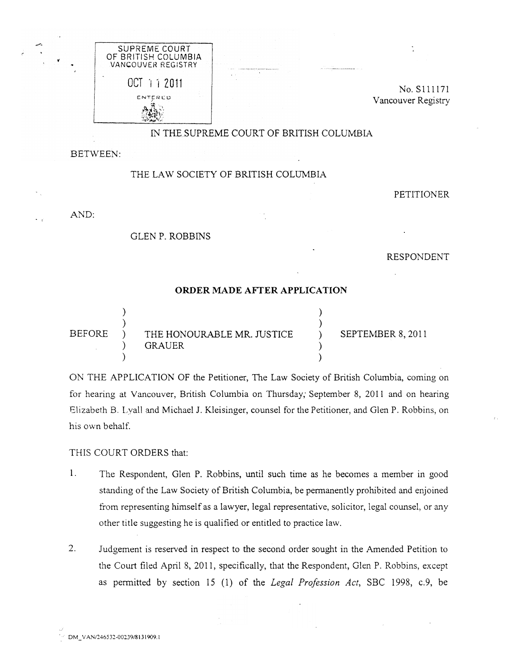

No. Sllll71 Vancouver Registry

## IN THE SUPREME COURT OF BRITISH COLUMBIA

BETWEEN:

## THE LAW SOCIETY OF BRITISH COLUMBIA

PETITIONER

AND:

<sup>0</sup>'

## GLEN P. ROBBINS

RESPONDENT

## ORDER MADE AFfER APPLICATION

) ) BEFORE ) THE HONOURABLE MR. JUSTICE GRAUER ) ) ) ) ) SEPTEMBER 8, 2011 ) )

ON THE APPLICATION OF the Petitioner, The Law Society of British Columbia, coming on for hearing at Vancouver, British Columbia on Thursday, September 8, 2011 and on hearing Elizabeth B. Lyall and Michael J. Kleisinger, counsel for the Petitioner, and Glen P. Robbins, on his own behalf.

THIS COURT ORDERS that:

- 1. The Respondent, Glen P. Robbins, until such time as he becomes a member in good standing of the Law Society of British Columbia, be permanently prohibited and enjoined from representing himself as a lawyer, legal representative, solicitor, legal counsel, or any other title suggesting he is qualified or entitled to practice law.
- 2. Judgement is reserved in respect to the second order sought in the Amended Petition to the Court filed April 8, 2011, specifically, that the Respondent, Glen P. Robbins, except as permitted by section 15 (1) of the Legal Profession Act, SBC 1998, c.9, be